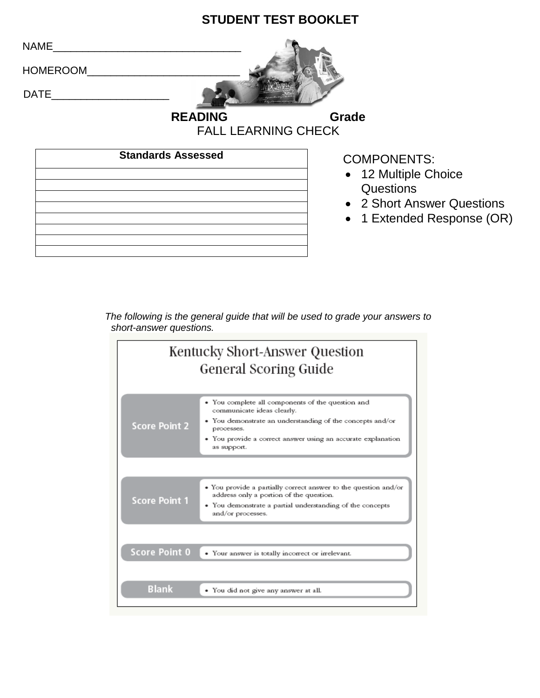## **STUDENT TEST BOOKLET**

 $NAME$ 

HOMEROOM\_\_\_\_\_\_\_\_\_\_\_\_\_\_\_\_\_\_\_\_\_\_\_\_\_\_

 $DATE$ 

**READING Grade** 

FALL LEARNING CHECK

| <b>Standards Assessed</b> |  |
|---------------------------|--|
|                           |  |
|                           |  |
|                           |  |
|                           |  |
|                           |  |

COMPONENTS:

- 12 Multiple Choice Questions
- 2 Short Answer Questions
- 1 Extended Response (OR)

### *The following is the general guide that will be used to grade your answers to short-answer questions.*

| Kentucky Short-Answer Question<br><b>General Scoring Guide</b> |                                                                                                                                                                                                                                           |
|----------------------------------------------------------------|-------------------------------------------------------------------------------------------------------------------------------------------------------------------------------------------------------------------------------------------|
| <b>Score Point 2</b>                                           | • You complete all components of the question and<br>communicate ideas clearly.<br>• You demonstrate an understanding of the concepts and/or<br>processes.<br>• You provide a correct answer using an accurate explanation<br>as support. |
|                                                                |                                                                                                                                                                                                                                           |
| <b>Score Point 1</b>                                           | • You provide a partially correct answer to the question and/or<br>address only a portion of the question.<br>• You demonstrate a partial understanding of the concepts<br>and/or processes.                                              |
| <b>Score Point 0</b>                                           | • Your answer is totally incorrect or irrelevant.                                                                                                                                                                                         |
| <b>Blank</b>                                                   | • You did not give any answer at all.                                                                                                                                                                                                     |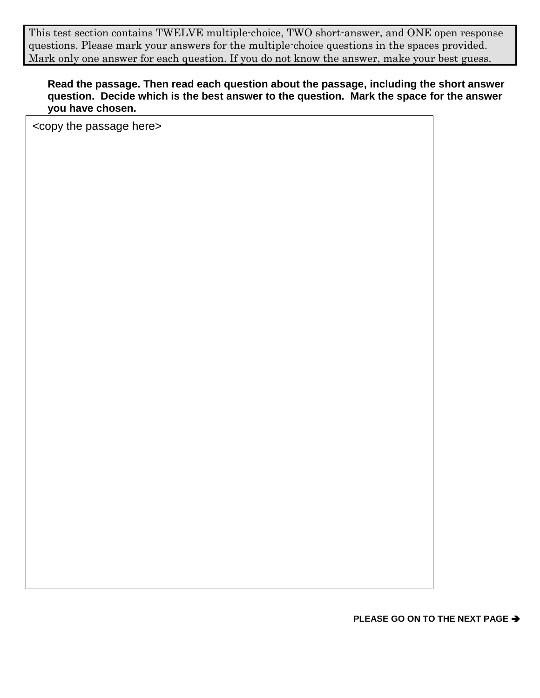This test section contains TWELVE multiple-choice, TWO short-answer, and ONE open response questions. Please mark your answers for the multiple-choice questions in the spaces provided. Mark only one answer for each question. If you do not know the answer, make your best guess.

### **Read the passage. Then read each question about the passage, including the short answer question. Decide which is the best answer to the question. Mark the space for the answer you have chosen.**

<copy the passage here>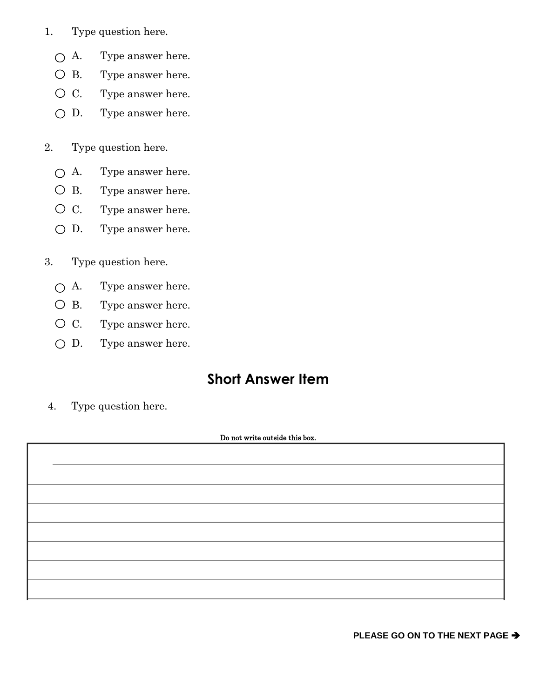- 1. Type question here.
	- A. Type answer here.
	- B. Type answer here.
	- C. Type answer here.
	- D. Type answer here.
- 2. Type question here.
	- A. Type answer here.
	- B. Type answer here.
	- C. Type answer here.
	- D. Type answer here.
- 3. Type question here.
	- A. Type answer here.
	- B. Type answer here.
	- C. Type answer here.
	- D. Type answer here.

## **Short Answer Item**

4. Type question here.

#### Do not write outside this box.

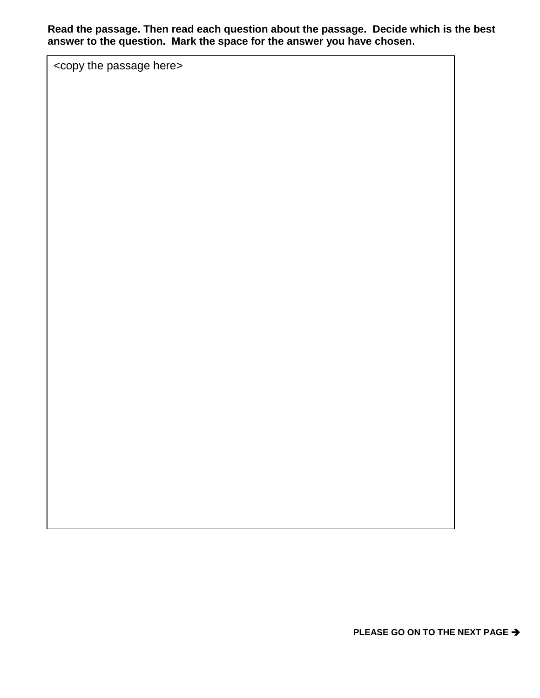**Read the passage. Then read each question about the passage. Decide which is the best answer to the question. Mark the space for the answer you have chosen.**

<copy the passage here>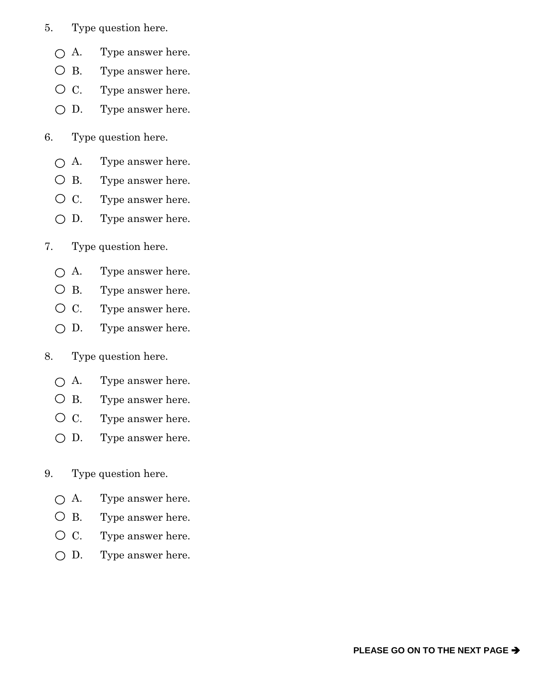- 5. Type question here.
	- A. Type answer here.
	- B. Type answer here.
	- C. Type answer here.
	- D. Type answer here.
- 6. Type question here.
	- A. Type answer here.
	- B. Type answer here.
	- C. Type answer here.
	- D. Type answer here.
- 7. Type question here.
	- A. Type answer here.
	- B. Type answer here.
	- C. Type answer here.
	- D. Type answer here.
- 8. Type question here.
	- A. Type answer here.
	- B. Type answer here.
	- C. Type answer here.
	- D. Type answer here.
- 9. Type question here.
	- A. Type answer here.
	- B. Type answer here.
	- C. Type answer here.
	- D. Type answer here.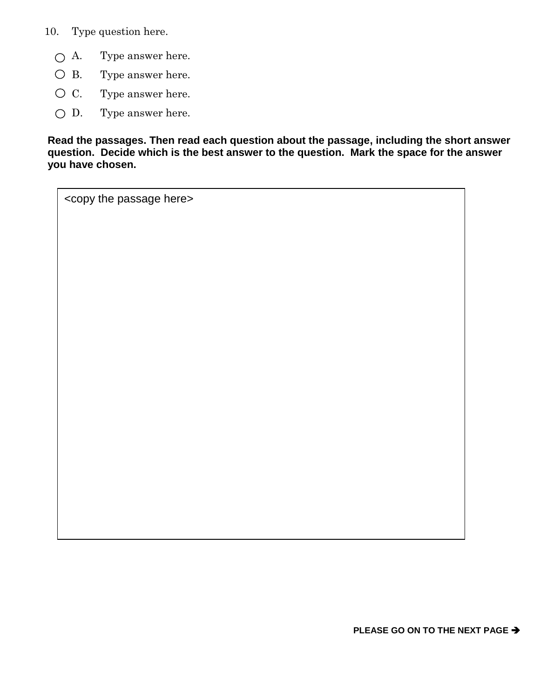10. Type question here.

- A. Type answer here.
- B. Type answer here.
- C. Type answer here.
- D. Type answer here.

**Read the passages. Then read each question about the passage, including the short answer question. Decide which is the best answer to the question. Mark the space for the answer you have chosen.**

<copy the passage here>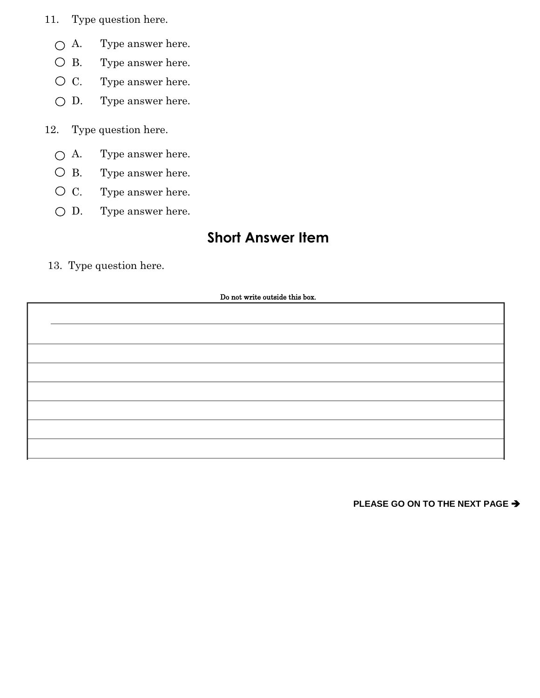- 11. Type question here.
	- A. Type answer here.
	- B. Type answer here.
	- C. Type answer here.
	- $\bigcirc$  D. Type answer here.
- 12. Type question here.
	- A. Type answer here.
	- B. Type answer here.
	- C. Type answer here.
	- D. Type answer here.

## **Short Answer Item**

13. Type question here.

#### Do not write outside this box.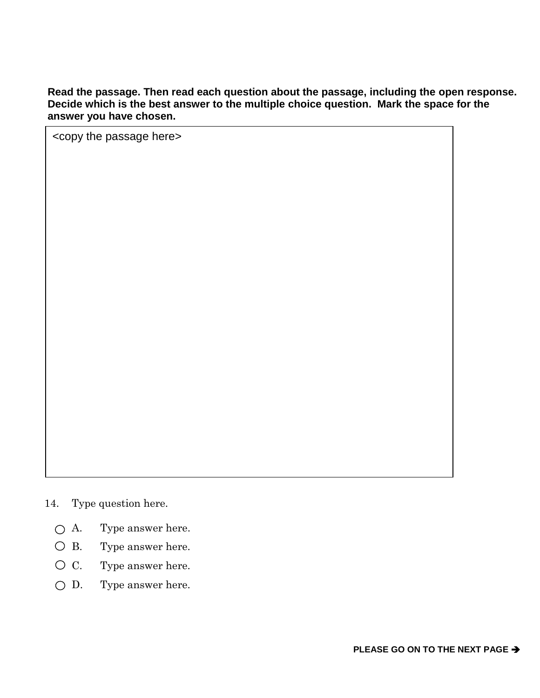**Read the passage. Then read each question about the passage, including the open response. Decide which is the best answer to the multiple choice question. Mark the space for the answer you have chosen.** 

<copy the passage here>

- 14. Type question here.
	- A. Type answer here.
	- B. Type answer here.
	- C. Type answer here.
	- D. Type answer here.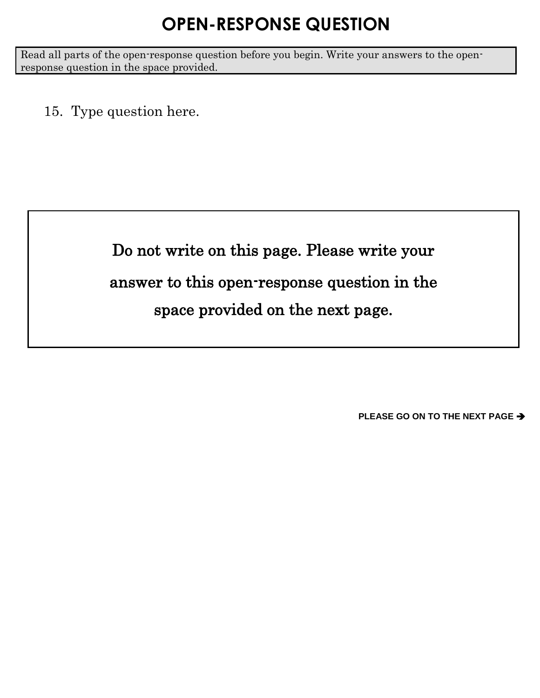# **OPEN-RESPONSE QUESTION**

Read all parts of the open-response question before you begin. Write your answers to the openresponse question in the space provided.

15. Type question here.

Do not write on this page. Please write your answer to this open-response question in the space provided on the next page.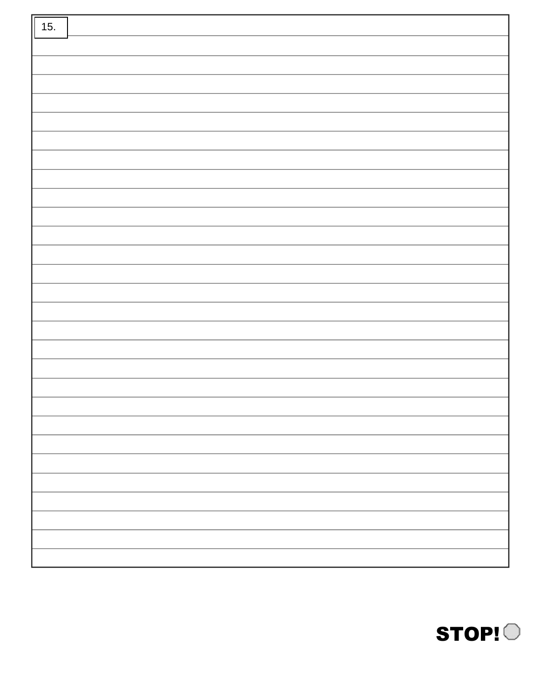| 15. |  |
|-----|--|
|     |  |
|     |  |
|     |  |
|     |  |
|     |  |
|     |  |
|     |  |
|     |  |
|     |  |
|     |  |
|     |  |
|     |  |
|     |  |
|     |  |
|     |  |
|     |  |
|     |  |
|     |  |
|     |  |
|     |  |
|     |  |
|     |  |
|     |  |
|     |  |
|     |  |
|     |  |
|     |  |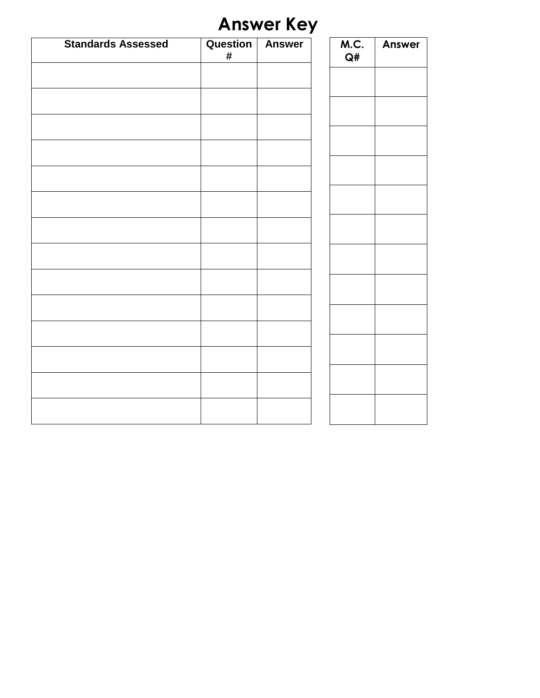# **Answer Key**

| <b>Standards Assessed</b> | Question<br>$\#$ | <b>Answer</b> | M.C.<br>Q# | <b>Answer</b> |
|---------------------------|------------------|---------------|------------|---------------|
|                           |                  |               |            |               |
|                           |                  |               |            |               |
|                           |                  |               |            |               |
|                           |                  |               |            |               |
|                           |                  |               |            |               |
|                           |                  |               |            |               |
|                           |                  |               |            |               |
|                           |                  |               |            |               |
|                           |                  |               |            |               |
|                           |                  |               |            |               |
|                           |                  |               |            |               |
|                           |                  |               |            |               |
|                           |                  |               |            |               |